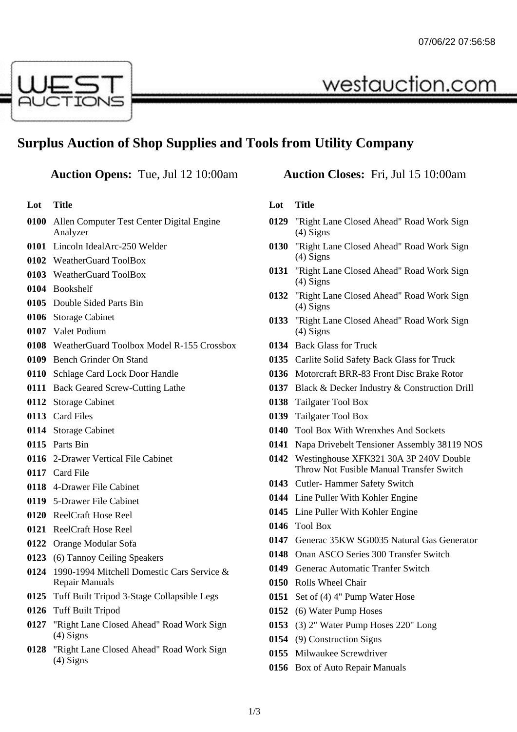

# **Surplus Auction of Shop Supplies and Tools from Utility Company**

# **Auction Opens:** Tue, Jul 12 10:00am **Auction Closes:** Fri, Jul 15 10:00am

**Lot Title**

- Allen Computer Test Center Digital Engine Analyzer
- Lincoln IdealArc-250 Welder
- WeatherGuard ToolBox
- WeatherGuard ToolBox
- Bookshelf
- Double Sided Parts Bin
- Storage Cabinet
- Valet Podium
- WeatherGuard Toolbox Model R-155 Crossbox
- Bench Grinder On Stand
- Schlage Card Lock Door Handle
- Back Geared Screw-Cutting Lathe
- Storage Cabinet
- Card Files
- Storage Cabinet
- Parts Bin
- 2-Drawer Vertical File Cabinet
- Card File
- 4-Drawer File Cabinet
- 5-Drawer File Cabinet
- ReelCraft Hose Reel
- ReelCraft Hose Reel
- Orange Modular Sofa
- (6) Tannoy Ceiling Speakers
- 1990-1994 Mitchell Domestic Cars Service & Repair Manuals
- Tuff Built Tripod 3-Stage Collapsible Legs
- Tuff Built Tripod
- "Right Lane Closed Ahead" Road Work Sign (4) Signs
- "Right Lane Closed Ahead" Road Work Sign (4) Signs

westauction.com

## **Lot Title**

- "Right Lane Closed Ahead" Road Work Sign (4) Signs
- "Right Lane Closed Ahead" Road Work Sign (4) Signs
- "Right Lane Closed Ahead" Road Work Sign (4) Signs
- "Right Lane Closed Ahead" Road Work Sign (4) Signs
- "Right Lane Closed Ahead" Road Work Sign (4) Signs
- Back Glass for Truck
- Carlite Solid Safety Back Glass for Truck
- Motorcraft BRR-83 Front Disc Brake Rotor
- Black & Decker Industry & Construction Drill
- Tailgater Tool Box
- Tailgater Tool Box
- Tool Box With Wrenxhes And Sockets
- Napa Drivebelt Tensioner Assembly 38119 NOS
- Westinghouse XFK321 30A 3P 240V Double Throw Not Fusible Manual Transfer Switch
- Cutler- Hammer Safety Switch
- Line Puller With Kohler Engine
- Line Puller With Kohler Engine
- Tool Box
- Generac 35KW SG0035 Natural Gas Generator
- Onan ASCO Series 300 Transfer Switch
- Generac Automatic Tranfer Switch
- Rolls Wheel Chair
- Set of (4) 4" Pump Water Hose
- (6) Water Pump Hoses
- (3) 2" Water Pump Hoses 220" Long
- (9) Construction Signs
- Milwaukee Screwdriver
- Box of Auto Repair Manuals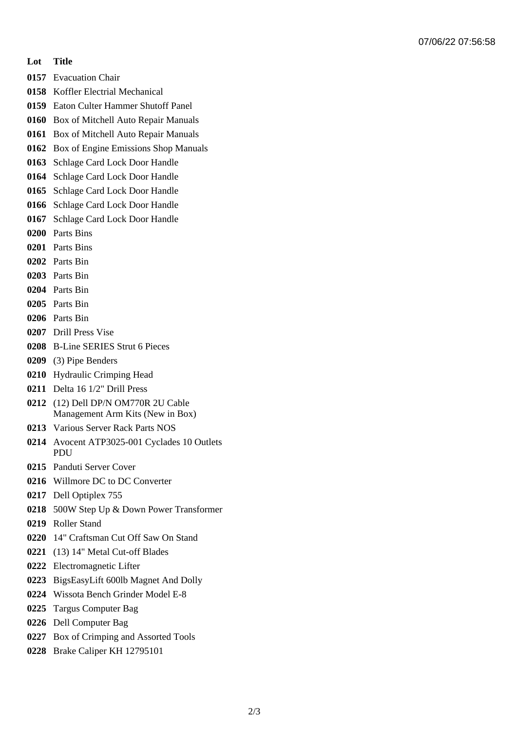### **Lot Title**

- Evacuation Chair
- Koffler Electrial Mechanical
- Eaton Culter Hammer Shutoff Panel
- Box of Mitchell Auto Repair Manuals
- Box of Mitchell Auto Repair Manuals
- Box of Engine Emissions Shop Manuals
- Schlage Card Lock Door Handle
- Schlage Card Lock Door Handle
- Schlage Card Lock Door Handle
- Schlage Card Lock Door Handle
- Schlage Card Lock Door Handle
- Parts Bins
- Parts Bins
- Parts Bin
- Parts Bin
- Parts Bin
- Parts Bin
- Parts Bin
- Drill Press Vise
- B-Line SERIES Strut 6 Pieces
- (3) Pipe Benders
- Hydraulic Crimping Head
- Delta 16 1/2" Drill Press
- (12) Dell DP/N OM770R 2U Cable Management Arm Kits (New in Box)
- Various Server Rack Parts NOS
- Avocent ATP3025-001 Cyclades 10 Outlets PDU
- Panduti Server Cover
- Willmore DC to DC Converter
- Dell Optiplex 755
- 500W Step Up & Down Power Transformer
- Roller Stand
- 14" Craftsman Cut Off Saw On Stand
- (13) 14" Metal Cut-off Blades
- Electromagnetic Lifter
- BigsEasyLift 600lb Magnet And Dolly
- Wissota Bench Grinder Model E-8
- Targus Computer Bag
- Dell Computer Bag
- Box of Crimping and Assorted Tools
- Brake Caliper KH 12795101